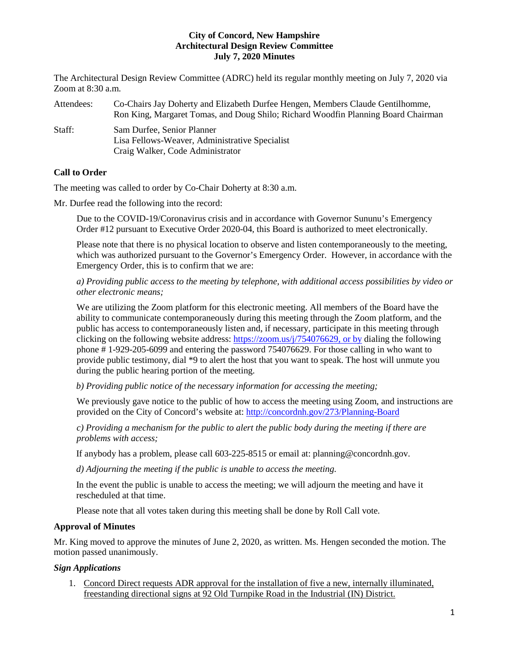The Architectural Design Review Committee (ADRC) held its regular monthly meeting on July 7, 2020 via Zoom at 8:30 a.m.

Attendees: Co-Chairs Jay Doherty and Elizabeth Durfee Hengen, Members Claude Gentilhomme, Ron King, Margaret Tomas, and Doug Shilo; Richard Woodfin Planning Board Chairman Staff: Sam Durfee, Senior Planner Lisa Fellows-Weaver, Administrative Specialist Craig Walker, Code Administrator

# **Call to Order**

The meeting was called to order by Co-Chair Doherty at 8:30 a.m.

Mr. Durfee read the following into the record:

Due to the COVID-19/Coronavirus crisis and in accordance with Governor Sununu's Emergency Order #12 pursuant to Executive Order 2020-04, this Board is authorized to meet electronically.

Please note that there is no physical location to observe and listen contemporaneously to the meeting, which was authorized pursuant to the Governor's Emergency Order. However, in accordance with the Emergency Order, this is to confirm that we are:

*a) Providing public access to the meeting by telephone, with additional access possibilities by video or other electronic means;* 

We are utilizing the Zoom platform for this electronic meeting. All members of the Board have the ability to communicate contemporaneously during this meeting through the Zoom platform, and the public has access to contemporaneously listen and, if necessary, participate in this meeting through clicking on the following website address: [https://zoom.us/j/754076629,](https://zoom.us/j/754076629) or by dialing the following phone # 1-929-205-6099 and entering the password 754076629. For those calling in who want to provide public testimony, dial \*9 to alert the host that you want to speak. The host will unmute you during the public hearing portion of the meeting.

*b) Providing public notice of the necessary information for accessing the meeting;*

We previously gave notice to the public of how to access the meeting using Zoom, and instructions are provided on the City of Concord's website at: <http://concordnh.gov/273/Planning-Board>

*c) Providing a mechanism for the public to alert the public body during the meeting if there are problems with access;* 

If anybody has a problem, please call 603-225-8515 or email at: planning@concordnh.gov.

*d) Adjourning the meeting if the public is unable to access the meeting.*

In the event the public is unable to access the meeting; we will adjourn the meeting and have it rescheduled at that time.

Please note that all votes taken during this meeting shall be done by Roll Call vote.

# **Approval of Minutes**

Mr. King moved to approve the minutes of June 2, 2020, as written. Ms. Hengen seconded the motion. The motion passed unanimously.

## *Sign Applications*

1. Concord Direct requests ADR approval for the installation of five a new, internally illuminated, freestanding directional signs at 92 Old Turnpike Road in the Industrial (IN) District.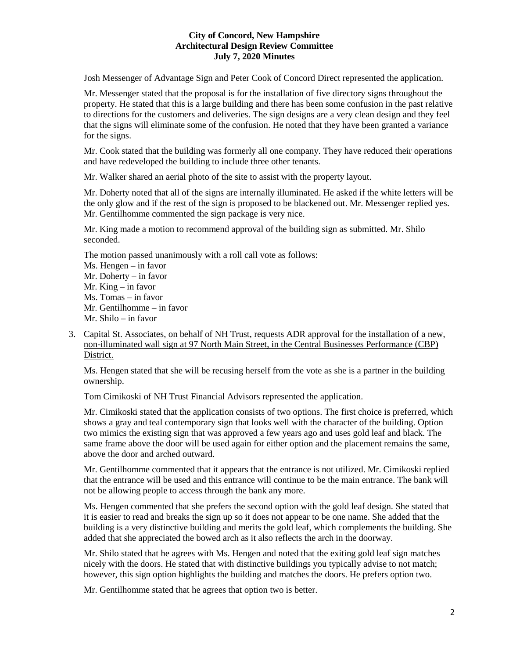Josh Messenger of Advantage Sign and Peter Cook of Concord Direct represented the application.

Mr. Messenger stated that the proposal is for the installation of five directory signs throughout the property. He stated that this is a large building and there has been some confusion in the past relative to directions for the customers and deliveries. The sign designs are a very clean design and they feel that the signs will eliminate some of the confusion. He noted that they have been granted a variance for the signs.

Mr. Cook stated that the building was formerly all one company. They have reduced their operations and have redeveloped the building to include three other tenants.

Mr. Walker shared an aerial photo of the site to assist with the property layout.

Mr. Doherty noted that all of the signs are internally illuminated. He asked if the white letters will be the only glow and if the rest of the sign is proposed to be blackened out. Mr. Messenger replied yes. Mr. Gentilhomme commented the sign package is very nice.

Mr. King made a motion to recommend approval of the building sign as submitted. Mr. Shilo seconded.

The motion passed unanimously with a roll call vote as follows:

Ms. Hengen – in favor Mr. Doherty – in favor Mr. King – in favor Ms. Tomas – in favor Mr. Gentilhomme – in favor Mr. Shilo – in favor

3. Capital St. Associates, on behalf of NH Trust, requests ADR approval for the installation of a new, non-illuminated wall sign at 97 North Main Street, in the Central Businesses Performance (CBP) District.

Ms. Hengen stated that she will be recusing herself from the vote as she is a partner in the building ownership.

Tom Cimikoski of NH Trust Financial Advisors represented the application.

Mr. Cimikoski stated that the application consists of two options. The first choice is preferred, which shows a gray and teal contemporary sign that looks well with the character of the building. Option two mimics the existing sign that was approved a few years ago and uses gold leaf and black. The same frame above the door will be used again for either option and the placement remains the same, above the door and arched outward.

Mr. Gentilhomme commented that it appears that the entrance is not utilized. Mr. Cimikoski replied that the entrance will be used and this entrance will continue to be the main entrance. The bank will not be allowing people to access through the bank any more.

Ms. Hengen commented that she prefers the second option with the gold leaf design. She stated that it is easier to read and breaks the sign up so it does not appear to be one name. She added that the building is a very distinctive building and merits the gold leaf, which complements the building. She added that she appreciated the bowed arch as it also reflects the arch in the doorway.

Mr. Shilo stated that he agrees with Ms. Hengen and noted that the exiting gold leaf sign matches nicely with the doors. He stated that with distinctive buildings you typically advise to not match; however, this sign option highlights the building and matches the doors. He prefers option two.

Mr. Gentilhomme stated that he agrees that option two is better.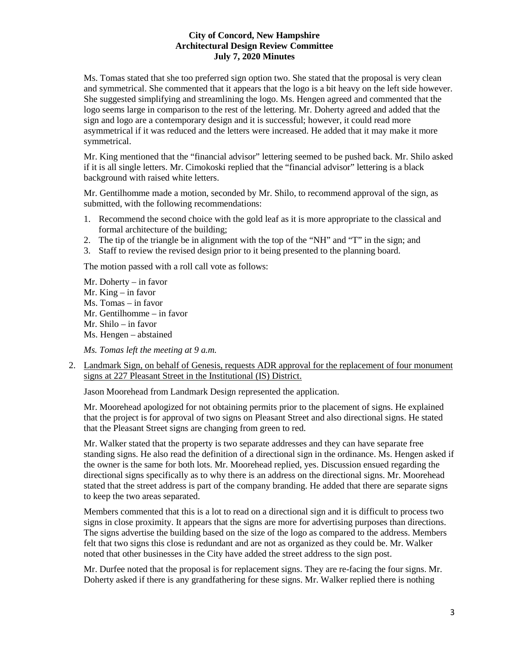Ms. Tomas stated that she too preferred sign option two. She stated that the proposal is very clean and symmetrical. She commented that it appears that the logo is a bit heavy on the left side however. She suggested simplifying and streamlining the logo. Ms. Hengen agreed and commented that the logo seems large in comparison to the rest of the lettering. Mr. Doherty agreed and added that the sign and logo are a contemporary design and it is successful; however, it could read more asymmetrical if it was reduced and the letters were increased. He added that it may make it more symmetrical.

Mr. King mentioned that the "financial advisor" lettering seemed to be pushed back. Mr. Shilo asked if it is all single letters. Mr. Cimokoski replied that the "financial advisor" lettering is a black background with raised white letters.

Mr. Gentilhomme made a motion, seconded by Mr. Shilo, to recommend approval of the sign, as submitted, with the following recommendations:

- 1. Recommend the second choice with the gold leaf as it is more appropriate to the classical and formal architecture of the building;
- 2. The tip of the triangle be in alignment with the top of the "NH" and "T" in the sign; and
- 3. Staff to review the revised design prior to it being presented to the planning board.

The motion passed with a roll call vote as follows:

Mr. Doherty – in favor Mr. King – in favor Ms. Tomas – in favor Mr. Gentilhomme – in favor Mr. Shilo – in favor Ms. Hengen – abstained

*Ms. Tomas left the meeting at 9 a.m.* 

2. Landmark Sign, on behalf of Genesis, requests ADR approval for the replacement of four monument signs at 227 Pleasant Street in the Institutional (IS) District.

Jason Moorehead from Landmark Design represented the application.

Mr. Moorehead apologized for not obtaining permits prior to the placement of signs. He explained that the project is for approval of two signs on Pleasant Street and also directional signs. He stated that the Pleasant Street signs are changing from green to red.

Mr. Walker stated that the property is two separate addresses and they can have separate free standing signs. He also read the definition of a directional sign in the ordinance. Ms. Hengen asked if the owner is the same for both lots. Mr. Moorehead replied, yes. Discussion ensued regarding the directional signs specifically as to why there is an address on the directional signs. Mr. Moorehead stated that the street address is part of the company branding. He added that there are separate signs to keep the two areas separated.

Members commented that this is a lot to read on a directional sign and it is difficult to process two signs in close proximity. It appears that the signs are more for advertising purposes than directions. The signs advertise the building based on the size of the logo as compared to the address. Members felt that two signs this close is redundant and are not as organized as they could be. Mr. Walker noted that other businesses in the City have added the street address to the sign post.

Mr. Durfee noted that the proposal is for replacement signs. They are re-facing the four signs. Mr. Doherty asked if there is any grandfathering for these signs. Mr. Walker replied there is nothing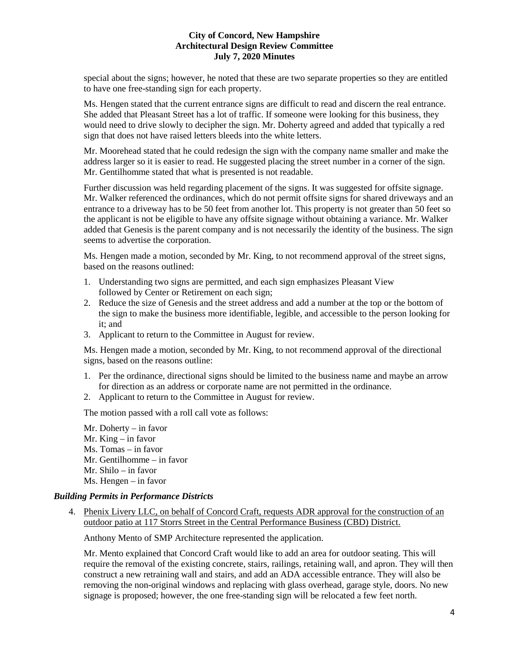special about the signs; however, he noted that these are two separate properties so they are entitled to have one free-standing sign for each property.

Ms. Hengen stated that the current entrance signs are difficult to read and discern the real entrance. She added that Pleasant Street has a lot of traffic. If someone were looking for this business, they would need to drive slowly to decipher the sign. Mr. Doherty agreed and added that typically a red sign that does not have raised letters bleeds into the white letters.

Mr. Moorehead stated that he could redesign the sign with the company name smaller and make the address larger so it is easier to read. He suggested placing the street number in a corner of the sign. Mr. Gentilhomme stated that what is presented is not readable.

Further discussion was held regarding placement of the signs. It was suggested for offsite signage. Mr. Walker referenced the ordinances, which do not permit offsite signs for shared driveways and an entrance to a driveway has to be 50 feet from another lot. This property is not greater than 50 feet so the applicant is not be eligible to have any offsite signage without obtaining a variance. Mr. Walker added that Genesis is the parent company and is not necessarily the identity of the business. The sign seems to advertise the corporation.

Ms. Hengen made a motion, seconded by Mr. King, to not recommend approval of the street signs, based on the reasons outlined:

- 1. Understanding two signs are permitted, and each sign emphasizes Pleasant View followed by Center or Retirement on each sign;
- 2. Reduce the size of Genesis and the street address and add a number at the top or the bottom of the sign to make the business more identifiable, legible, and accessible to the person looking for it; and
- 3. Applicant to return to the Committee in August for review.

Ms. Hengen made a motion, seconded by Mr. King, to not recommend approval of the directional signs, based on the reasons outline:

- 1. Per the ordinance, directional signs should be limited to the business name and maybe an arrow for direction as an address or corporate name are not permitted in the ordinance.
- 2. Applicant to return to the Committee in August for review.

The motion passed with a roll call vote as follows:

Mr. Doherty – in favor Mr. King – in favor Ms. Tomas – in favor Mr. Gentilhomme – in favor Mr. Shilo – in favor Ms. Hengen – in favor

### *Building Permits in Performance Districts*

4. [Phenix Livery LLC,](https://www.concordnh.gov/DocumentCenter/View/15458/ConcordCraft_ADR) on behalf of Concord Craft, requests ADR approval for the construction of an outdoor patio at 117 Storrs Street in the Central Performance Business (CBD) District.

Anthony Mento of SMP Architecture represented the application.

Mr. Mento explained that Concord Craft would like to add an area for outdoor seating. This will require the removal of the existing concrete, stairs, railings, retaining wall, and apron. They will then construct a new retraining wall and stairs, and add an ADA accessible entrance. They will also be removing the non-original windows and replacing with glass overhead, garage style, doors. No new signage is proposed; however, the one free-standing sign will be relocated a few feet north.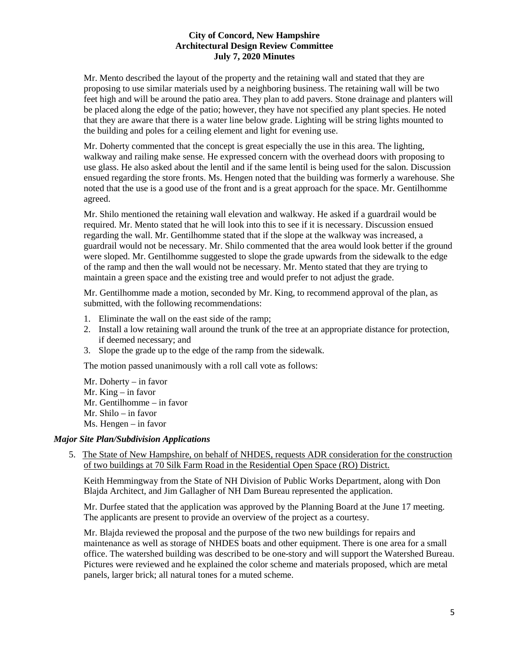Mr. Mento described the layout of the property and the retaining wall and stated that they are proposing to use similar materials used by a neighboring business. The retaining wall will be two feet high and will be around the patio area. They plan to add pavers. Stone drainage and planters will be placed along the edge of the patio; however, they have not specified any plant species. He noted that they are aware that there is a water line below grade. Lighting will be string lights mounted to the building and poles for a ceiling element and light for evening use.

Mr. Doherty commented that the concept is great especially the use in this area. The lighting, walkway and railing make sense. He expressed concern with the overhead doors with proposing to use glass. He also asked about the lentil and if the same lentil is being used for the salon. Discussion ensued regarding the store fronts. Ms. Hengen noted that the building was formerly a warehouse. She noted that the use is a good use of the front and is a great approach for the space. Mr. Gentilhomme agreed.

Mr. Shilo mentioned the retaining wall elevation and walkway. He asked if a guardrail would be required. Mr. Mento stated that he will look into this to see if it is necessary. Discussion ensued regarding the wall. Mr. Gentilhomme stated that if the slope at the walkway was increased, a guardrail would not be necessary. Mr. Shilo commented that the area would look better if the ground were sloped. Mr. Gentilhomme suggested to slope the grade upwards from the sidewalk to the edge of the ramp and then the wall would not be necessary. Mr. Mento stated that they are trying to maintain a green space and the existing tree and would prefer to not adjust the grade.

Mr. Gentilhomme made a motion, seconded by Mr. King, to recommend approval of the plan, as submitted, with the following recommendations:

- 1. Eliminate the wall on the east side of the ramp;
- 2. Install a low retaining wall around the trunk of the tree at an appropriate distance for protection, if deemed necessary; and
- 3. Slope the grade up to the edge of the ramp from the sidewalk.

The motion passed unanimously with a roll call vote as follows:

Mr. Doherty – in favor Mr. King – in favor Mr. Gentilhomme – in favor Mr. Shilo – in favor Ms. Hengen – in favor

#### *Major Site Plan/Subdivision Applications*

5. The State of New Hampshire, on behalf of NHDES, requests ADR consideration for the construction of two buildings at 70 Silk Farm Road in the Residential Open Space (RO) District.

Keith Hemmingway from the State of NH Division of Public Works Department, along with Don Blajda Architect, and Jim Gallagher of NH Dam Bureau represented the application.

Mr. Durfee stated that the application was approved by the Planning Board at the June 17 meeting. The applicants are present to provide an overview of the project as a courtesy.

Mr. Blajda reviewed the proposal and the purpose of the two new buildings for repairs and maintenance as well as storage of NHDES boats and other equipment. There is one area for a small office. The watershed building was described to be one-story and will support the Watershed Bureau. Pictures were reviewed and he explained the color scheme and materials proposed, which are metal panels, larger brick; all natural tones for a muted scheme.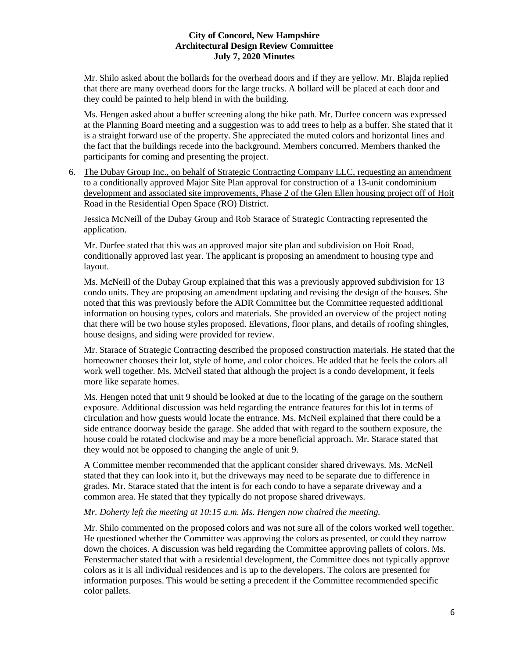Mr. Shilo asked about the bollards for the overhead doors and if they are yellow. Mr. Blajda replied that there are many overhead doors for the large trucks. A bollard will be placed at each door and they could be painted to help blend in with the building.

Ms. Hengen asked about a buffer screening along the bike path. Mr. Durfee concern was expressed at the Planning Board meeting and a suggestion was to add trees to help as a buffer. She stated that it is a straight forward use of the property. She appreciated the muted colors and horizontal lines and the fact that the buildings recede into the background. Members concurred. Members thanked the participants for coming and presenting the project.

6. The Dubay Group Inc., on behalf of Strategic Contracting Company LLC, requesting an amendment to a conditionally approved Major Site Plan approval for construction of a 13-unit condominium development and associated site improvements, Phase 2 of the Glen Ellen housing project off of Hoit Road in the Residential Open Space (RO) District.

Jessica McNeill of the Dubay Group and Rob Starace of Strategic Contracting represented the application.

Mr. Durfee stated that this was an approved major site plan and subdivision on Hoit Road, conditionally approved last year. The applicant is proposing an amendment to housing type and layout.

Ms. McNeill of the Dubay Group explained that this was a previously approved subdivision for 13 condo units. They are proposing an amendment updating and revising the design of the houses. She noted that this was previously before the ADR Committee but the Committee requested additional information on housing types, colors and materials. She provided an overview of the project noting that there will be two house styles proposed. Elevations, floor plans, and details of roofing shingles, house designs, and siding were provided for review.

Mr. Starace of Strategic Contracting described the proposed construction materials. He stated that the homeowner chooses their lot, style of home, and color choices. He added that he feels the colors all work well together. Ms. McNeil stated that although the project is a condo development, it feels more like separate homes.

Ms. Hengen noted that unit 9 should be looked at due to the locating of the garage on the southern exposure. Additional discussion was held regarding the entrance features for this lot in terms of circulation and how guests would locate the entrance. Ms. McNeil explained that there could be a side entrance doorway beside the garage. She added that with regard to the southern exposure, the house could be rotated clockwise and may be a more beneficial approach. Mr. Starace stated that they would not be opposed to changing the angle of unit 9.

A Committee member recommended that the applicant consider shared driveways. Ms. McNeil stated that they can look into it, but the driveways may need to be separate due to difference in grades. Mr. Starace stated that the intent is for each condo to have a separate driveway and a common area. He stated that they typically do not propose shared driveways.

### *Mr. Doherty left the meeting at 10:15 a.m. Ms. Hengen now chaired the meeting.*

Mr. Shilo commented on the proposed colors and was not sure all of the colors worked well together. He questioned whether the Committee was approving the colors as presented, or could they narrow down the choices. A discussion was held regarding the Committee approving pallets of colors. Ms. Fenstermacher stated that with a residential development, the Committee does not typically approve colors as it is all individual residences and is up to the developers. The colors are presented for information purposes. This would be setting a precedent if the Committee recommended specific color pallets.